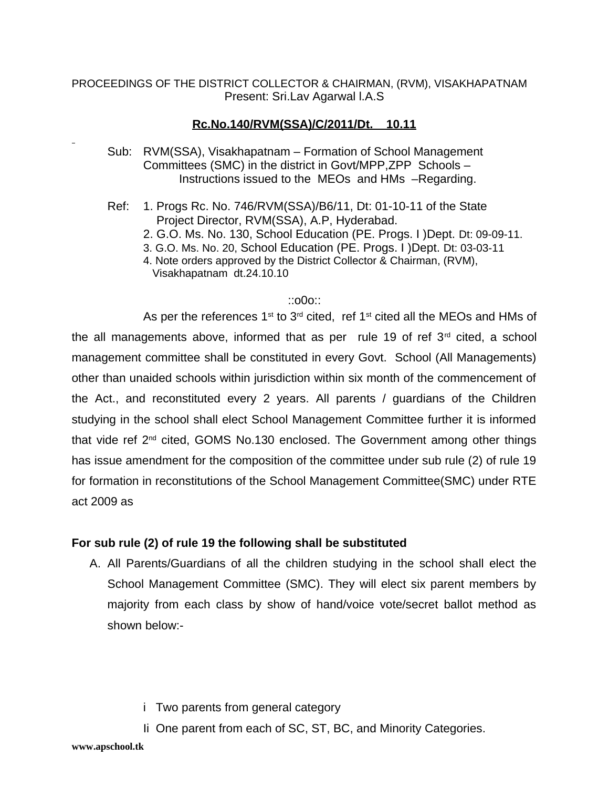PROCEEDINGS OF THE DISTRICT COLLECTOR & CHAIRMAN, (RVM), VISAKHAPATNAM Present: Sri.Lav Agarwal l.A.S

## **Rc.No.140/RVM(SSA)/C/2011/Dt. 10.11**

- Sub: RVM(SSA), Visakhapatnam Formation of School Management Committees (SMC) in the district in Govt/MPP,ZPP Schools – Instructions issued to the MEOs and HMs –Regarding.
- Ref: 1. Progs Rc. No. 746/RVM(SSA)/B6/11, Dt: 01-10-11 of the State Project Director, RVM(SSA), A.P, Hyderabad.
	- 2. G.O. Ms. No. 130, School Education (PE. Progs. I )Dept. Dt: 09-09-11.
	- 3. G.O. Ms. No. 20, School Education (PE. Progs. I )Dept. Dt: 03-03-11
	- 4. Note orders approved by the District Collector & Chairman, (RVM), Visakhapatnam dt.24.10.10

## ::o0o::

As per the references  $1^{st}$  to  $3^{rd}$  cited, ref  $1^{st}$  cited all the MEOs and HMs of the all managements above, informed that as per rule 19 of ref  $3<sup>rd</sup>$  cited, a school management committee shall be constituted in every Govt. School (All Managements) other than unaided schools within jurisdiction within six month of the commencement of the Act., and reconstituted every 2 years. All parents / guardians of the Children studying in the school shall elect School Management Committee further it is informed that vide ref  $2^{nd}$  cited, GOMS No.130 enclosed. The Government among other things has issue amendment for the composition of the committee under sub rule (2) of rule 19 for formation in reconstitutions of the School Management Committee(SMC) under RTE act 2009 as

## **For sub rule (2) of rule 19 the following shall be substituted**

- A. All Parents/Guardians of all the children studying in the school shall elect the School Management Committee (SMC). They will elect six parent members by majority from each class by show of hand/voice vote/secret ballot method as shown below:
	- i Two parents from general category
	- Ii One parent from each of SC, ST, BC, and Minority Categories.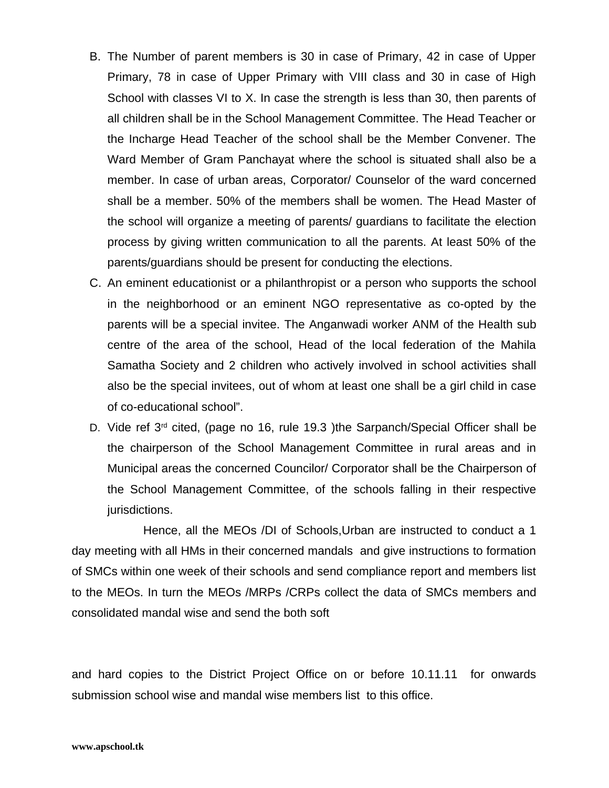- B. The Number of parent members is 30 in case of Primary, 42 in case of Upper Primary, 78 in case of Upper Primary with VIII class and 30 in case of High School with classes VI to X. In case the strength is less than 30, then parents of all children shall be in the School Management Committee. The Head Teacher or the Incharge Head Teacher of the school shall be the Member Convener. The Ward Member of Gram Panchayat where the school is situated shall also be a member. In case of urban areas, Corporator/ Counselor of the ward concerned shall be a member. 50% of the members shall be women. The Head Master of the school will organize a meeting of parents/ guardians to facilitate the election process by giving written communication to all the parents. At least 50% of the parents/guardians should be present for conducting the elections.
- C. An eminent educationist or a philanthropist or a person who supports the school in the neighborhood or an eminent NGO representative as co-opted by the parents will be a special invitee. The Anganwadi worker ANM of the Health sub centre of the area of the school, Head of the local federation of the Mahila Samatha Society and 2 children who actively involved in school activities shall also be the special invitees, out of whom at least one shall be a girl child in case of co-educational school".
- D. Vide ref 3<sup>rd</sup> cited, (page no 16, rule 19.3 )the Sarpanch/Special Officer shall be the chairperson of the School Management Committee in rural areas and in Municipal areas the concerned Councilor/ Corporator shall be the Chairperson of the School Management Committee, of the schools falling in their respective jurisdictions.

Hence, all the MEOs /DI of Schools,Urban are instructed to conduct a 1 day meeting with all HMs in their concerned mandals and give instructions to formation of SMCs within one week of their schools and send compliance report and members list to the MEOs. In turn the MEOs /MRPs /CRPs collect the data of SMCs members and consolidated mandal wise and send the both soft

and hard copies to the District Project Office on or before 10.11.11 for onwards submission school wise and mandal wise members list to this office.